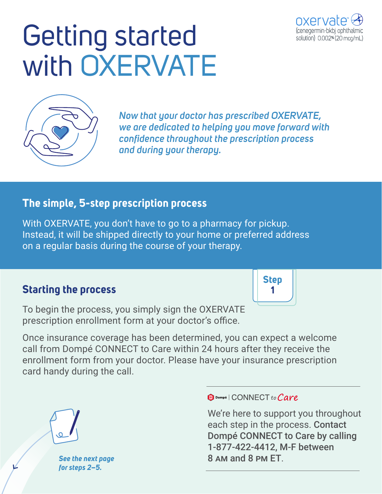# Getting started with OXERVATE



*Now that your doctor has prescribed OXERVATE, we are dedicated to helping you move forward with confidence throughout the prescription process and during your therapy.*

#### **The simple, 5-step prescription process**

With OXERVATE, you don't have to go to a pharmacy for pickup. Instead, it will be shipped directly to your home or preferred address on a regular basis during the course of your therapy.

### **Starting the process**

To begin the process, you simply sign the OXERVATE prescription enrollment form at your doctor's office.

Once insurance coverage has been determined, you can expect a welcome call from Dompé CONNECT to Care within 24 hours after they receive the enrollment form from your doctor. Please have your insurance prescription card handy during the call.



*See the next page for steps 2–5.*

 $\mathbf 0$  Dompé | CONNECT to Care

We're here to support you throughout each step in the process. Contact Dompé CONNECT to Care by calling 1-877-422-4412, M-F between 8 am and 8 pm ET.